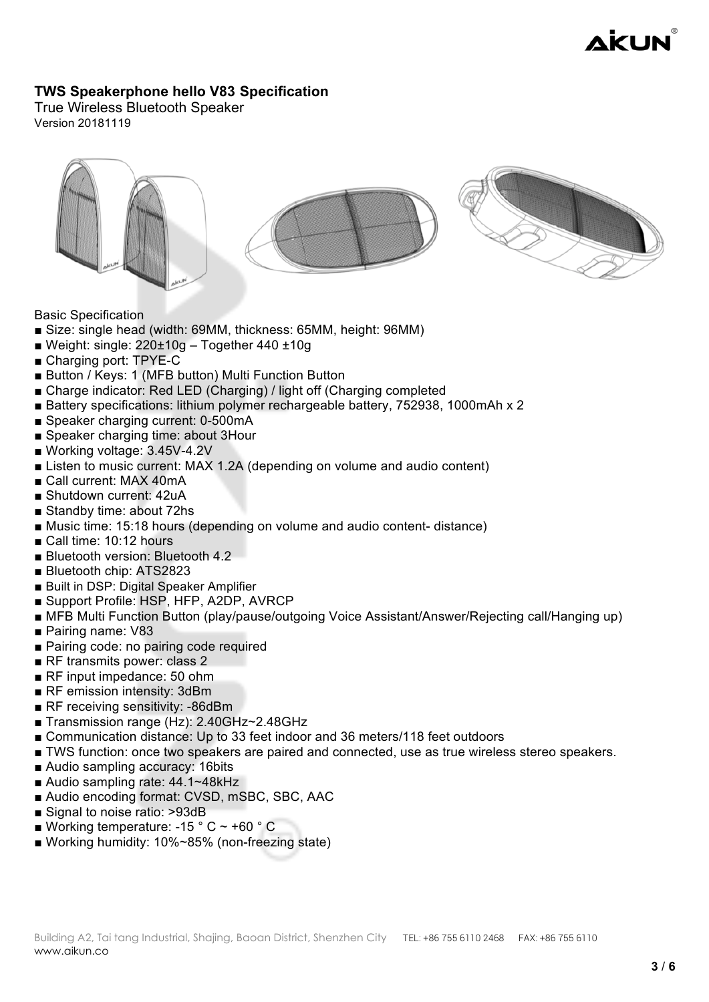# AKUN

## **TWS Speakerphone hello V83 Specification**

True Wireless Bluetooth Speaker

Version 20181119



Basic Specification

- Size: single head (width: 69MM, thickness: 65MM, height: 96MM)
- $\blacksquare$  Weight: single: 220±10g Together 440 ±10g
- Charging port: TPYE-C
- Button / Keys: 1 (MFB button) Multi Function Button
- Charge indicator: Red LED (Charging) / light off (Charging completed
- Battery specifications: lithium polymer rechargeable battery, 752938, 1000mAh x 2
- Speaker charging current: 0-500mA
- Speaker charging time: about 3Hour
- Working voltage: 3.45V-4.2V
- Listen to music current: MAX 1.2A (depending on volume and audio content)
- Call current: MAX 40mA
- Shutdown current: 42uA
- Standby time: about 72hs
- Music time: 15:18 hours (depending on volume and audio content- distance)
- Call time: 10:12 hours
- Bluetooth version: Bluetooth 4.2
- Bluetooth chip: ATS2823
- Built in DSP: Digital Speaker Amplifier
- Support Profile: HSP, HFP, A2DP, AVRCP
- MFB Multi Function Button (play/pause/outgoing Voice Assistant/Answer/Rejecting call/Hanging up)
- Pairing name: V83
- Pairing code: no pairing code required
- RF transmits power: class 2
- RF input impedance: 50 ohm
- RF emission intensity: 3dBm
- RF receiving sensitivity: -86dBm
- Transmission range (Hz): 2.40GHz~2.48GHz
- Communication distance: Up to 33 feet indoor and 36 meters/118 feet outdoors
- TWS function: once two speakers are paired and connected, use as true wireless stereo speakers.
- Audio sampling accuracy: 16bits
- Audio sampling rate: 44.1~48kHz
- Audio encoding format: CVSD, mSBC, SBC, AAC
- Signal to noise ratio: >93dB
- Working temperature: -15  $\degree$  C ~ +60  $\degree$  C
- Working humidity: 10%~85% (non-freezing state)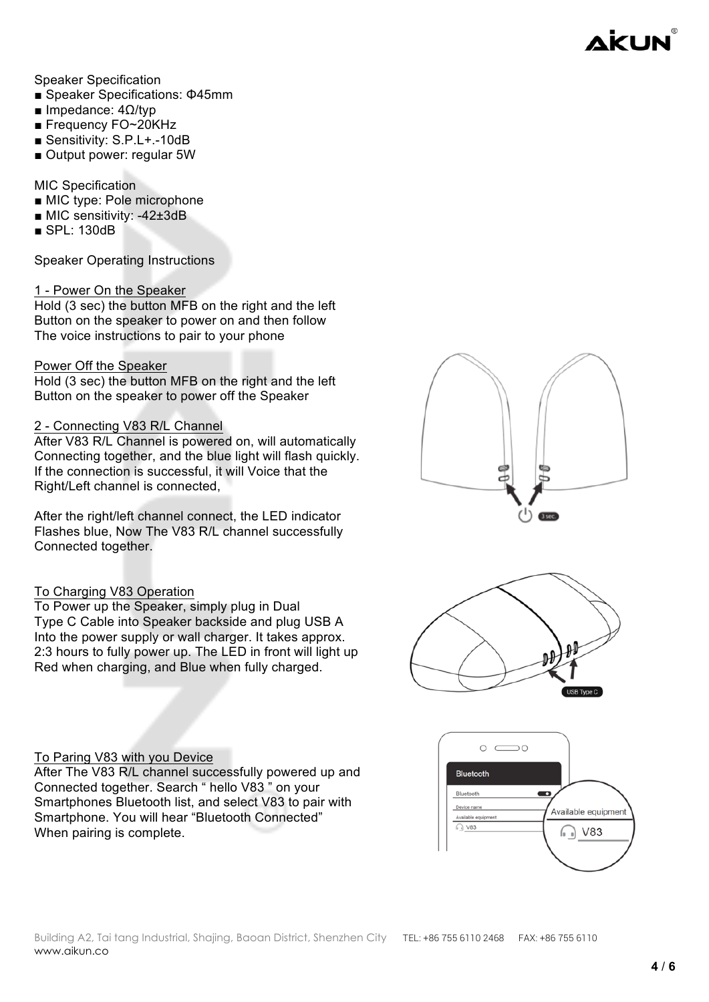

Speaker Specification

- Speaker Specifications: Φ45mm
- Impedance: 4Ω/typ
- Frequency FO~20KHz
- Sensitivity: S.P.L+.-10dB
- Output power: regular 5W

MIC Specification

- MIC type: Pole microphone
- MIC sensitivity: -42±3dB
- $\blacksquare$  SPL: 130dB

Speaker Operating Instructions

#### 1 - Power On the Speaker

Hold (3 sec) the button MFB on the right and the left Button on the speaker to power on and then follow The voice instructions to pair to your phone

#### Power Off the Speaker

Hold (3 sec) the button MFB on the right and the left Button on the speaker to power off the Speaker

#### 2 - Connecting V83 R/L Channel

After V83 R/L Channel is powered on, will automatically Connecting together, and the blue light will flash quickly. If the connection is successful, it will Voice that the Right/Left channel is connected,

After the right/left channel connect, the LED indicator Flashes blue, Now The V83 R/L channel successfully Connected together.

#### To Charging V83 Operation

To Power up the Speaker, simply plug in Dual Type C Cable into Speaker backside and plug USB A Into the power supply or wall charger. It takes approx. 2:3 hours to fully power up. The LED in front will light up Red when charging, and Blue when fully charged.





#### To Paring V83 with you Device

After The V83 R/L channel successfully powered up and Connected together. Search " hello V83 " on your Smartphones Bluetooth list, and select V83 to pair with Smartphone. You will hear "Bluetooth Connected" When pairing is complete.